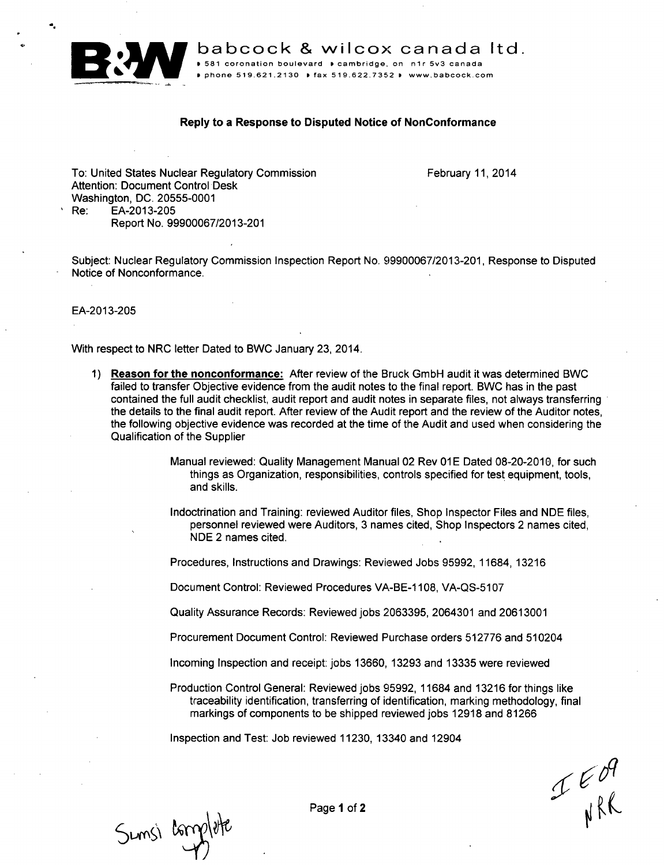

**babcock & wilcox canada ltd. .**<br> **P.581 coronation boulevard P** cambridge, on n1r 5v3 canada

D phone **519.621 2130 I** fax **519-622.7352** I www.babcock.com

## Reply to a Response to Disputed Notice of NonConformance

To: United States Nuclear Regulatory Commission February 11, 2014 Attention: Document Control Desk Washington, DC. 20555-0001<br>Re: EA-2013-205 Re: EA-2013-205 Report No. 99900067/2013-201

Subject: Nuclear Regulatory Commission Inspection Report No. 99900067/2013-201, Response to Disputed Notice of Nonconformance.

EA-2013-205

With respect to NRC letter Dated to BWC January 23, 2014.

- 1) Reason for the nonconformance: After review of the Bruck GmbH audit it was determined BWC failed to transfer Objective evidence from the audit notes to the final report. BWC has in the past contained the full audit checklist, audit report and audit notes in separate files, not always transferring the details to the final audit report. After review of the Audit report and the review of the Auditor notes, the following objective evidence was recorded at the time of the Audit and used when considering the Qualification of the Supplier
	- Manual reviewed: Quality Management Manual 02 Rev 01 E Dated 08-20-2010, for such things as Organization, responsibilities, controls specified for test equipment, tools, and skills.
	- Indoctrination and Training: reviewed Auditor files, Shop Inspector Files and NDE files, personnel reviewed were Auditors, 3 names cited, Shop Inspectors 2 names cited, NDE 2 names cited.

Procedures, Instructions and Drawings: Reviewed Jobs 95992, 11684, 13216

Document Control: Reviewed Procedures VA-BE-1 108, VA-QS-5107

Quality Assurance Records: Reviewed jobs 2063395, 2064301 and 20613001

- Procurement Document Control: Reviewed Purchase orders 512776 and 510204
- Incoming Inspection and receipt: jobs 13660, 13293 and 13335 were reviewed

Production Control General: Reviewed jobs 95992, 11684 and 13216 for things like traceability identification, transferring of identification, marking methodology, final markings of components to be shipped reviewed jobs 12918 and 81266

Inspection and Test: Job reviewed 11230, 13340 and 12904

 $P_{N}^{\epsilon\beta}$ 

Sunsi complete